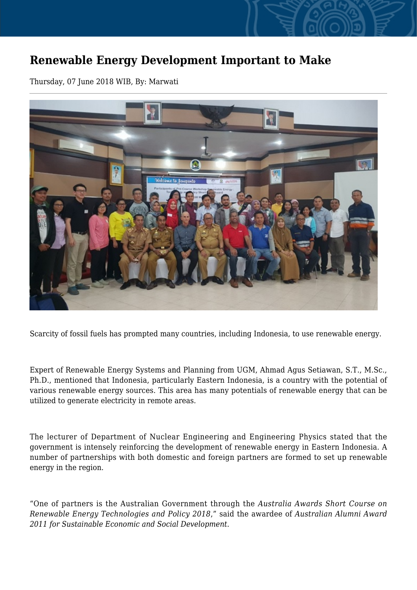## **Renewable Energy Development Important to Make**

Thursday, 07 June 2018 WIB, By: Marwati



Scarcity of fossil fuels has prompted many countries, including Indonesia, to use renewable energy.

Expert of Renewable Energy Systems and Planning from UGM, Ahmad Agus Setiawan, S.T., M.Sc., Ph.D., mentioned that Indonesia, particularly Eastern Indonesia, is a country with the potential of various renewable energy sources. This area has many potentials of renewable energy that can be utilized to generate electricity in remote areas.

The lecturer of Department of Nuclear Engineering and Engineering Physics stated that the government is intensely reinforcing the development of renewable energy in Eastern Indonesia. A number of partnerships with both domestic and foreign partners are formed to set up renewable energy in the region.

"One of partners is the Australian Government through the *Australia Awards Short Course on Renewable Energy Technologies and Policy 2018*," said the awardee of *Australian Alumni Award 2011 for Sustainable Economic and Social Development.*